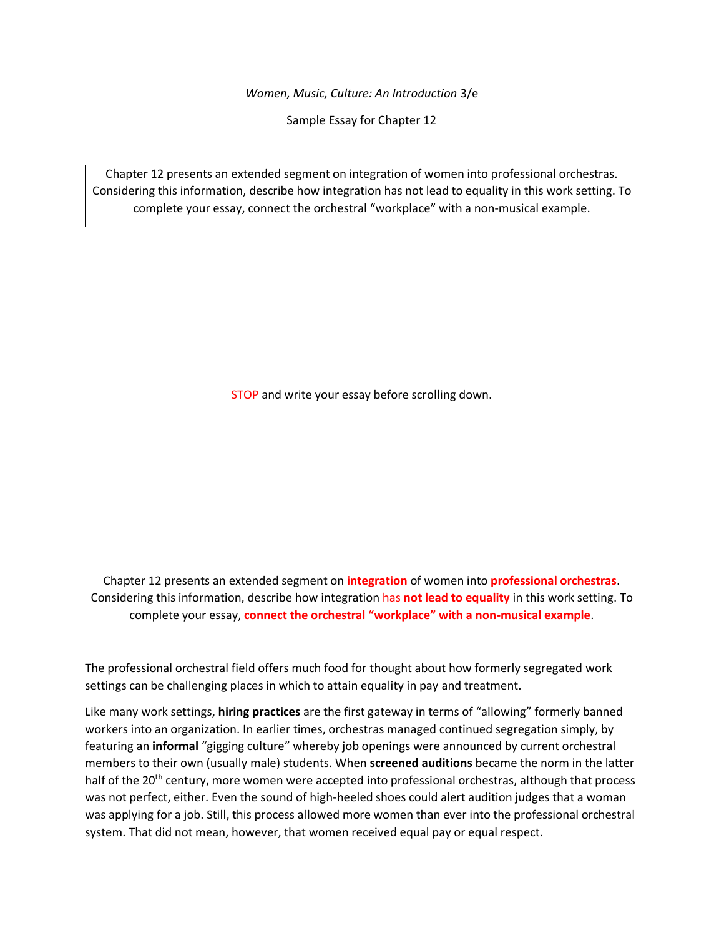*Women, Music, Culture: An Introduction* 3/e

Sample Essay for Chapter 12

Chapter 12 presents an extended segment on integration of women into professional orchestras. Considering this information, describe how integration has not lead to equality in this work setting. To complete your essay, connect the orchestral "workplace" with a non-musical example.

STOP and write your essay before scrolling down.

Chapter 12 presents an extended segment on **integration** of women into **professional orchestras**. Considering this information, describe how integration has **not lead to equality** in this work setting. To complete your essay, **connect the orchestral "workplace" with a non-musical example**.

The professional orchestral field offers much food for thought about how formerly segregated work settings can be challenging places in which to attain equality in pay and treatment.

Like many work settings, **hiring practices** are the first gateway in terms of "allowing" formerly banned workers into an organization. In earlier times, orchestras managed continued segregation simply, by featuring an **informal** "gigging culture" whereby job openings were announced by current orchestral members to their own (usually male) students. When **screened auditions** became the norm in the latter half of the 20<sup>th</sup> century, more women were accepted into professional orchestras, although that process was not perfect, either. Even the sound of high-heeled shoes could alert audition judges that a woman was applying for a job. Still, this process allowed more women than ever into the professional orchestral system. That did not mean, however, that women received equal pay or equal respect.